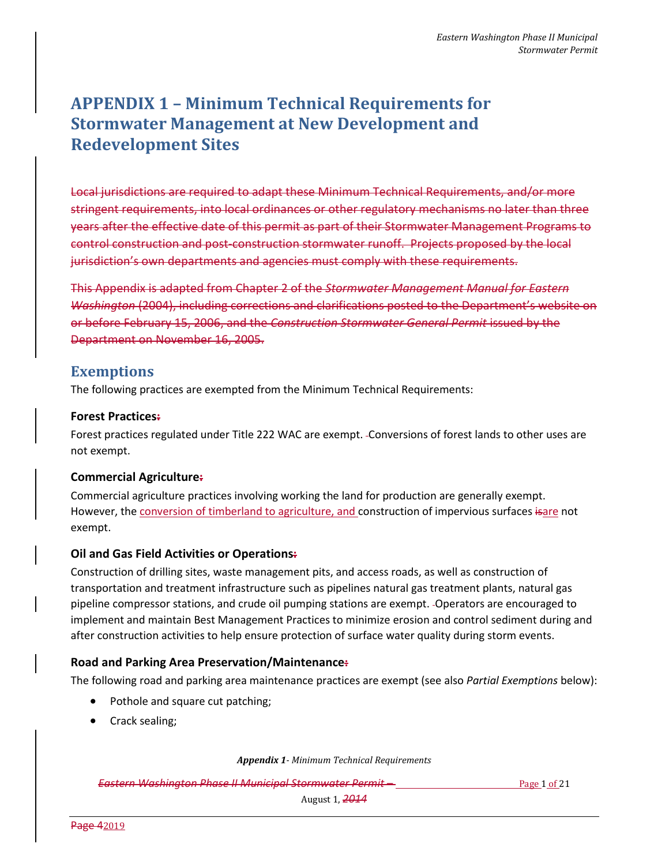# **APPENDIX 1 – Minimum Technical Requirements for Stormwater Management at New Development and Redevelopment Sites**

Local jurisdictions are required to adapt these Minimum Technical Requirements, and/or more stringent requirements, into local ordinances or other regulatory mechanisms no later than three years after the effective date of this permit as part of their Stormwater Management Programs to control construction and post-construction stormwater runoff. Projects proposed by the local jurisdiction's own departments and agencies must comply with these requirements.

This Appendix is adapted from Chapter 2 of the *Stormwater Management Manual for Eastern Washington* (2004), including corrections and clarifications posted to the Department's website on or before February 15, 2006, and the *Construction Stormwater General Permit* issued by the Department on November 16, 2005.

## **Exemptions**

The following practices are exempted from the Minimum Technical Requirements:

## **Forest Practices:**

Forest practices regulated under Title 222 WAC are exempt. Conversions of forest lands to other uses are not exempt.

## **Commercial Agriculture:**

Commercial agriculture practices involving working the land for production are generally exempt. However, the conversion of timberland to agriculture, and construction of impervious surfaces isare not exempt.

## **Oil and Gas Field Activities or Operations:**

Construction of drilling sites, waste management pits, and access roads, as well as construction of transportation and treatment infrastructure such as pipelines natural gas treatment plants, natural gas pipeline compressor stations, and crude oil pumping stations are exempt. Operators are encouraged to implement and maintain Best Management Practices to minimize erosion and control sediment during and after construction activities to help ensure protection of surface water quality during storm events.

## **Road and Parking Area Preservation/Maintenance:**

The following road and parking area maintenance practices are exempt (see also *Partial Exemptions* below):

- Pothole and square cut patching;
- Crack sealing;

*Appendix 1- Minimum Technical Requirements*

**Eastern Washington Phase II Municipal Stormwater Permit – Page 1 of 21 Page 1 of 21**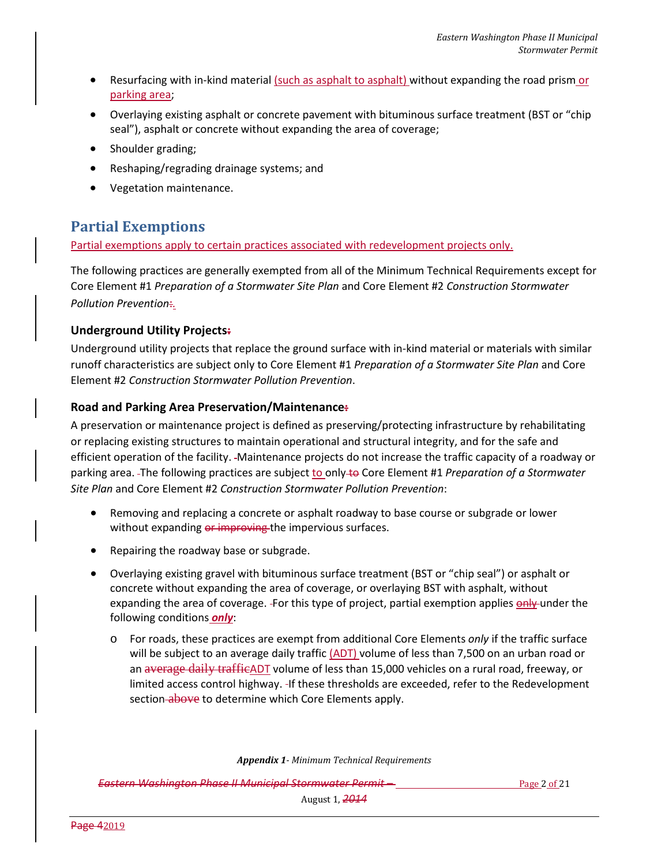- Resurfacing with in-kind material (such as asphalt to asphalt) without expanding the road prism or parking area;
- Overlaying existing asphalt or concrete pavement with bituminous surface treatment (BST or "chip seal"), asphalt or concrete without expanding the area of coverage;
- Shoulder grading;
- Reshaping/regrading drainage systems; and
- Vegetation maintenance.

# **Partial Exemptions**

Partial exemptions apply to certain practices associated with redevelopment projects only.

The following practices are generally exempted from all of the Minimum Technical Requirements except for Core Element #1 *Preparation of a Stormwater Site Plan* and Core Element #2 *Construction Stormwater Pollution Prevention*:*.*

## **Underground Utility Projects:**

Underground utility projects that replace the ground surface with in-kind material or materials with similar runoff characteristics are subject only to Core Element #1 *Preparation of a Stormwater Site Plan* and Core Element #2 *Construction Stormwater Pollution Prevention*.

## **Road and Parking Area Preservation/Maintenance:**

A preservation or maintenance project is defined as preserving/protecting infrastructure by rehabilitating or replacing existing structures to maintain operational and structural integrity, and for the safe and efficient operation of the facility. Maintenance projects do not increase the traffic capacity of a roadway or parking area. -The following practices are subject to only to Core Element #1 *Preparation of a Stormwater Site Plan* and Core Element #2 *Construction Stormwater Pollution Prevention*:

- Removing and replacing a concrete or asphalt roadway to base course or subgrade or lower without expanding or improving the impervious surfaces.
- Repairing the roadway base or subgrade.
- Overlaying existing gravel with bituminous surface treatment (BST or "chip seal") or asphalt or concrete without expanding the area of coverage, or overlaying BST with asphalt, without expanding the area of coverage. -For this type of project, partial exemption applies  $\frac{\text{only}}{\text{only}}$  under the following conditions *only*:
	- o For roads, these practices are exempt from additional Core Elements *only* if the traffic surface will be subject to an average daily traffic  $(ADT)$  volume of less than 7,500 on an urban road or an average daily trafficADT volume of less than 15,000 vehicles on a rural road, freeway, or limited access control highway. If these thresholds are exceeded, refer to the Redevelopment section above to determine which Core Elements apply.

*Appendix 1- Minimum Technical Requirements*

**Eastern Washington Phase II Municipal Stormwater Permit – Page 2 of 21 Page 2 of 21**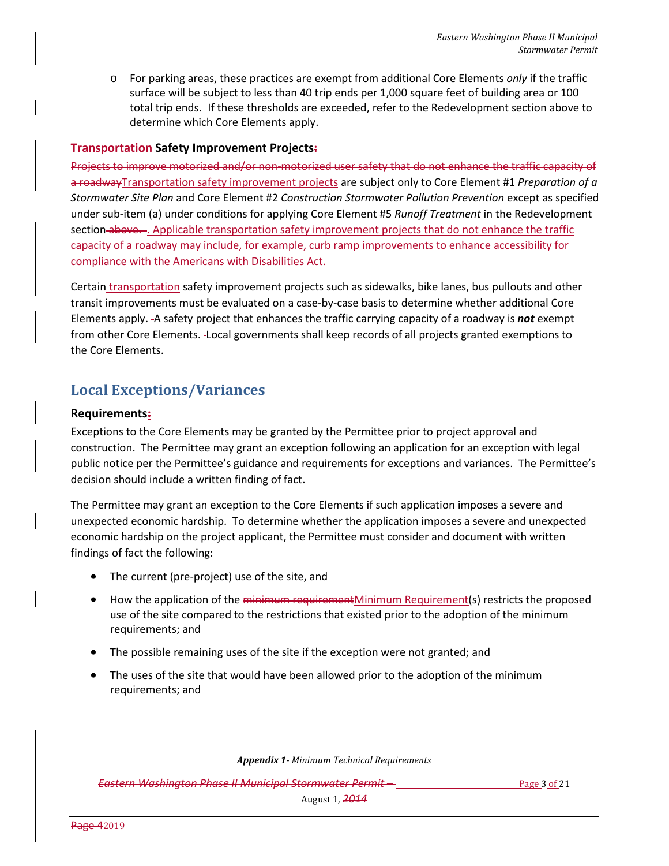o For parking areas, these practices are exempt from additional Core Elements *only* if the traffic surface will be subject to less than 40 trip ends per 1,000 square feet of building area or 100 total trip ends. If these thresholds are exceeded, refer to the Redevelopment section above to determine which Core Elements apply.

## **Transportation Safety Improvement Projects:**

Projects to improve motorized and/or non-motorized user safety that do not enhance the traffic capacity of a roadwayTransportation safety improvement projects are subject only to Core Element #1 *Preparation of a Stormwater Site Plan* and Core Element #2 *Construction Stormwater Pollution Prevention* except as specified under sub-item (a) under conditions for applying Core Element #5 *Runoff Treatment* in the Redevelopment section above.... Applicable transportation safety improvement projects that do not enhance the traffic capacity of a roadway may include, for example, curb ramp improvements to enhance accessibility for compliance with the Americans with Disabilities Act.

Certain transportation safety improvement projects such as sidewalks, bike lanes, bus pullouts and other transit improvements must be evaluated on a case-by-case basis to determine whether additional Core Elements apply. A safety project that enhances the traffic carrying capacity of a roadway is *not* exempt from other Core Elements. Local governments shall keep records of all projects granted exemptions to the Core Elements.

## **Local Exceptions/Variances**

## **Requirements:**

Exceptions to the Core Elements may be granted by the Permittee prior to project approval and construction. The Permittee may grant an exception following an application for an exception with legal public notice per the Permittee's guidance and requirements for exceptions and variances. The Permittee's decision should include a written finding of fact.

The Permittee may grant an exception to the Core Elements if such application imposes a severe and unexpected economic hardship. To determine whether the application imposes a severe and unexpected economic hardship on the project applicant, the Permittee must consider and document with written findings of fact the following:

- The current (pre-project) use of the site, and
- How the application of the minimum requirementMinimum Requirement(s) restricts the proposed use of the site compared to the restrictions that existed prior to the adoption of the minimum requirements; and
- The possible remaining uses of the site if the exception were not granted; and
- The uses of the site that would have been allowed prior to the adoption of the minimum requirements; and

*Appendix 1- Minimum Technical Requirements*

**Eastern Washington Phase II Municipal Stormwater Permit – Page 1 Page 3 of 21** Page 3 of 21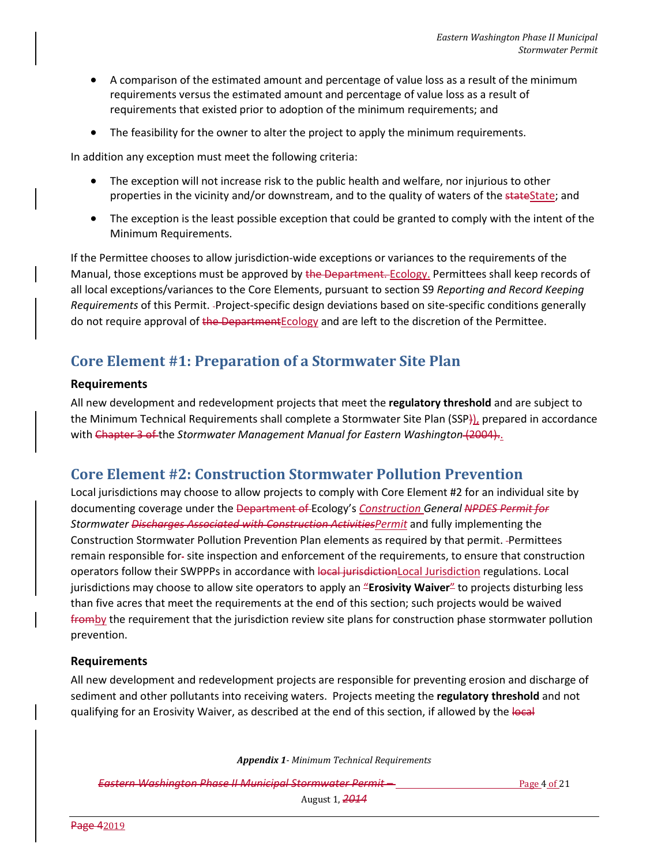- A comparison of the estimated amount and percentage of value loss as a result of the minimum requirements versus the estimated amount and percentage of value loss as a result of requirements that existed prior to adoption of the minimum requirements; and
- The feasibility for the owner to alter the project to apply the minimum requirements.

In addition any exception must meet the following criteria:

- The exception will not increase risk to the public health and welfare, nor injurious to other properties in the vicinity and/or downstream, and to the quality of waters of the state State; and
- The exception is the least possible exception that could be granted to comply with the intent of the Minimum Requirements.

If the Permittee chooses to allow jurisdiction-wide exceptions or variances to the requirements of the Manual, those exceptions must be approved by the Department. Ecology. Permittees shall keep records of all local exceptions/variances to the Core Elements, pursuant to section S9 *Reporting and Record Keeping Requirements* of this Permit. Project-specific design deviations based on site-specific conditions generally do not require approval of the Department Ecology and are left to the discretion of the Permittee.

## **Core Element #1: Preparation of a Stormwater Site Plan**

#### **Requirements**

All new development and redevelopment projects that meet the **regulatory threshold** and are subject to the Minimum Technical Requirements shall complete a Stormwater Site Plan (SSP)), prepared in accordance with Chapter 3 of the *Stormwater Management Manual for Eastern Washington* (2004)..

## **Core Element #2: Construction Stormwater Pollution Prevention**

Local jurisdictions may choose to allow projects to comply with Core Element #2 for an individual site by documenting coverage under the Department of Ecology's *Construction General NPDES Permit for Stormwater Discharges Associated with Construction ActivitiesPermit* and fully implementing the Construction Stormwater Pollution Prevention Plan elements as required by that permit. -Permittees remain responsible for-site inspection and enforcement of the requirements, to ensure that construction operators follow their SWPPPs in accordance with local jurisdiction Local Jurisdiction regulations. Local jurisdictions may choose to allow site operators to apply an "**Erosivity Waiver**" to projects disturbing less than five acres that meet the requirements at the end of this section; such projects would be waived fromby the requirement that the jurisdiction review site plans for construction phase stormwater pollution prevention.

## **Requirements**

All new development and redevelopment projects are responsible for preventing erosion and discharge of sediment and other pollutants into receiving waters. Projects meeting the **regulatory threshold** and not qualifying for an Erosivity Waiver, as described at the end of this section, if allowed by the local

*Appendix 1- Minimum Technical Requirements*

**Eastern Washington Phase II Municipal Stormwater Permit – Page 4 of 21 Page 4 of 21**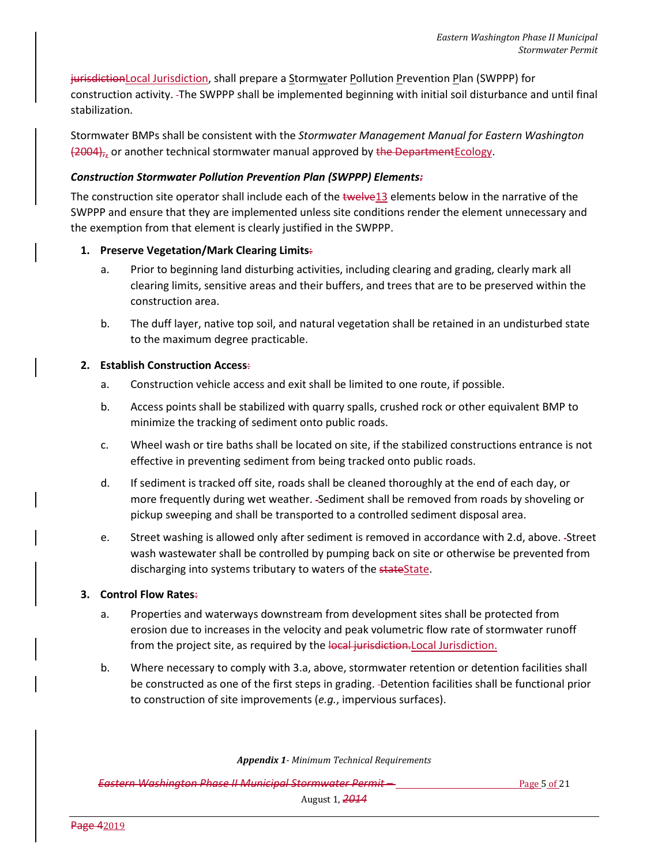jurisdictionLocal Jurisdiction, shall prepare a Stormwater Pollution Prevention Plan (SWPPP) for construction activity. The SWPPP shall be implemented beginning with initial soil disturbance and until final stabilization.

Stormwater BMPs shall be consistent with the *Stormwater Management Manual for Eastern Washington* (2004),, or another technical stormwater manual approved by the DepartmentEcology.

## *Construction Stormwater Pollution Prevention Plan (SWPPP) Elements:*

The construction site operator shall include each of the twelve13 elements below in the narrative of the SWPPP and ensure that they are implemented unless site conditions render the element unnecessary and the exemption from that element is clearly justified in the SWPPP.

## **1. Preserve Vegetation/Mark Clearing Limits**:

- a. Prior to beginning land disturbing activities, including clearing and grading, clearly mark all clearing limits, sensitive areas and their buffers, and trees that are to be preserved within the construction area.
- b. The duff layer, native top soil, and natural vegetation shall be retained in an undisturbed state to the maximum degree practicable.

## **2. Establish Construction Access**:

- a. Construction vehicle access and exit shall be limited to one route, if possible.
- b. Access points shall be stabilized with quarry spalls, crushed rock or other equivalent BMP to minimize the tracking of sediment onto public roads.
- c. Wheel wash or tire baths shall be located on site, if the stabilized constructions entrance is not effective in preventing sediment from being tracked onto public roads.
- d. If sediment is tracked off site, roads shall be cleaned thoroughly at the end of each day, or more frequently during wet weather. Sediment shall be removed from roads by shoveling or pickup sweeping and shall be transported to a controlled sediment disposal area.
- e. Street washing is allowed only after sediment is removed in accordance with 2.d, above. Street wash wastewater shall be controlled by pumping back on site or otherwise be prevented from discharging into systems tributary to waters of the stateState.

## **3. Control Flow Rates**:

- a. Properties and waterways downstream from development sites shall be protected from erosion due to increases in the velocity and peak volumetric flow rate of stormwater runoff from the project site, as required by the local jurisdiction. Local Jurisdiction.
- b. Where necessary to comply with 3.a, above, stormwater retention or detention facilities shall be constructed as one of the first steps in grading. Detention facilities shall be functional prior to construction of site improvements (*e.g.*, impervious surfaces).

*Appendix 1- Minimum Technical Requirements*

**Eastern Washington Phase II Municipal Stormwater Permit – Page 18 Containers** Page 5 of 21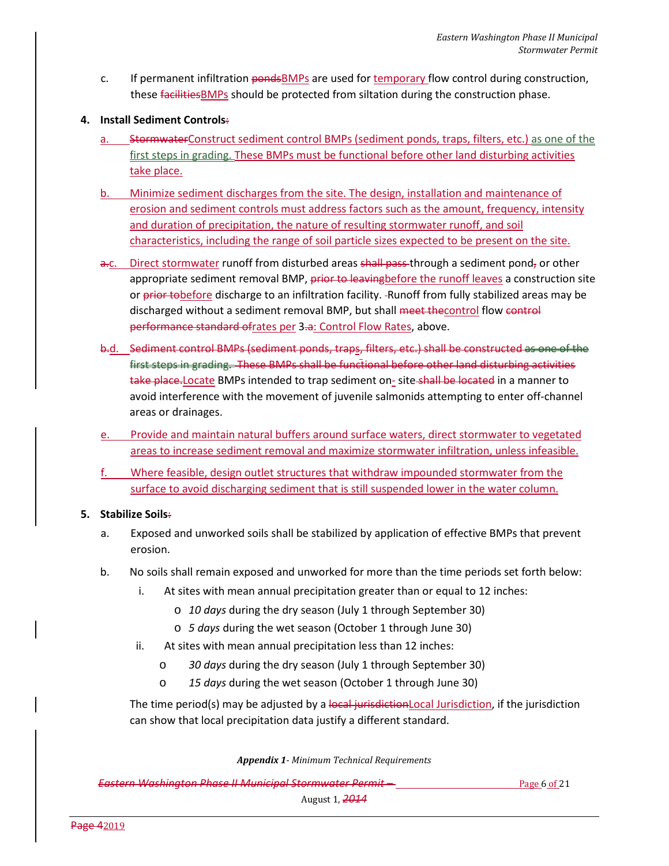- c. If permanent infiltration pondsBMPs are used for temporary flow control during construction, these facilities BMPs should be protected from siltation during the construction phase.
- **4. Install Sediment Controls**:
	- a. StormwaterConstruct sediment control BMPs (sediment ponds, traps, filters, etc.) as one of the first steps in grading. These BMPs must be functional before other land disturbing activities take place.
	- b. Minimize sediment discharges from the site. The design, installation and maintenance of erosion and sediment controls must address factors such as the amount, frequency, intensity and duration of precipitation, the nature of resulting stormwater runoff, and soil characteristics, including the range of soil particle sizes expected to be present on the site.
	- a.c. Direct stormwater runoff from disturbed areas shall pass through a sediment pond, or other appropriate sediment removal BMP, prior to leaving before the runoff leaves a construction site or prior tobefore discharge to an infiltration facility. -Runoff from fully stabilized areas may be discharged without a sediment removal BMP, but shall meet thecontrol flow control performance standard ofrates per 3.a: Control Flow Rates, above.
	- b.d. Sediment control BMPs (sediment ponds, traps, filters, etc.) shall be constructed as one of the first steps in grading. These BMPs shall be functional before other land disturbing activities take place. Locate BMPs intended to trap sediment on- site shall be located in a manner to avoid interference with the movement of juvenile salmonids attempting to enter off-channel areas or drainages.
	- e. Provide and maintain natural buffers around surface waters, direct stormwater to vegetated areas to increase sediment removal and maximize stormwater infiltration, unless infeasible.
	- f. Where feasible, design outlet structures that withdraw impounded stormwater from the surface to avoid discharging sediment that is still suspended lower in the water column.

## **5. Stabilize Soils**:

- a. Exposed and unworked soils shall be stabilized by application of effective BMPs that prevent erosion.
- b. No soils shall remain exposed and unworked for more than the time periods set forth below:
	- i. At sites with mean annual precipitation greater than or equal to 12 inches:
		- o *10 days* during the dry season (July 1 through September 30)
		- o *5 days* during the wet season (October 1 through June 30)
	- ii. At sites with mean annual precipitation less than 12 inches:
		- o *30 days* during the dry season (July 1 through September 30)
		- o *15 days* during the wet season (October 1 through June 30)

The time period(s) may be adjusted by a local jurisdiction local Jurisdiction, if the jurisdiction can show that local precipitation data justify a different standard.

#### *Appendix 1- Minimum Technical Requirements*

**Eastern Washington Phase II Municipal Stormwater Permit – Page 6 of 21 Page 6 of 21**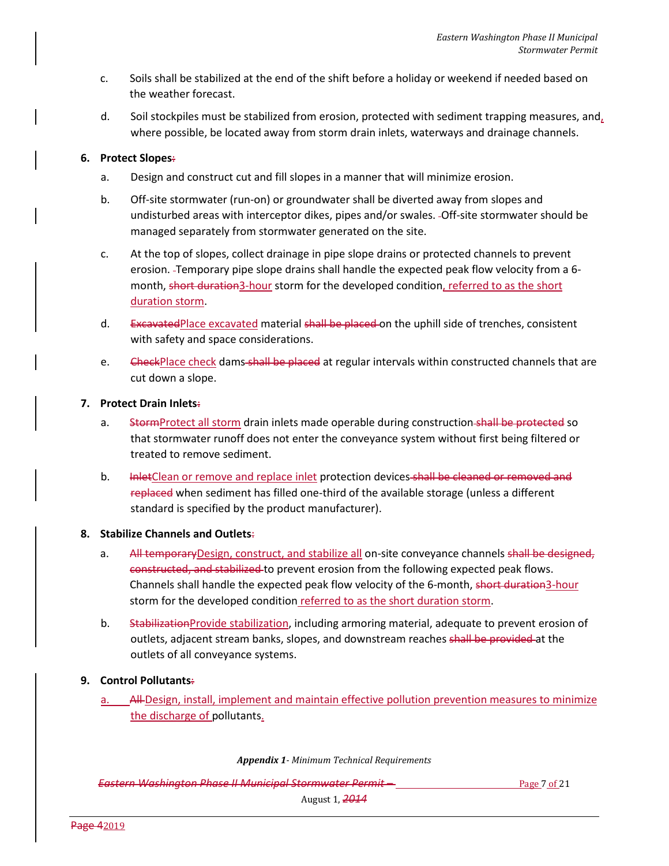- c. Soils shall be stabilized at the end of the shift before a holiday or weekend if needed based on the weather forecast.
- d. Soil stockpiles must be stabilized from erosion, protected with sediment trapping measures, and, where possible, be located away from storm drain inlets, waterways and drainage channels.

## **6. Protect Slopes**:

- a. Design and construct cut and fill slopes in a manner that will minimize erosion.
- b. Off-site stormwater (run-on) or groundwater shall be diverted away from slopes and undisturbed areas with interceptor dikes, pipes and/or swales. Off-site stormwater should be managed separately from stormwater generated on the site.
- c. At the top of slopes, collect drainage in pipe slope drains or protected channels to prevent erosion. Temporary pipe slope drains shall handle the expected peak flow velocity from a 6 month, short duration3-hour storm for the developed condition, referred to as the short duration storm.
- d. Excavated Place excavated material shall be placed on the uphill side of trenches, consistent with safety and space considerations.
- e. GheckPlace check dams shall be placed at regular intervals within constructed channels that are cut down a slope.

## **7. Protect Drain Inlets**:

- a. StormProtect all storm drain inlets made operable during construction shall be protected so that stormwater runoff does not enter the conveyance system without first being filtered or treated to remove sediment.
- b. **InletClean or remove and replace inlet protection devices shall be cleaned or removed and** replaced when sediment has filled one-third of the available storage (unless a different standard is specified by the product manufacturer).

## **8. Stabilize Channels and Outlets**:

- a. All temporaryDesign, construct, and stabilize all on-site conveyance channels shall be designed, constructed, and stabilized to prevent erosion from the following expected peak flows. Channels shall handle the expected peak flow velocity of the 6-month, short duration3-hour storm for the developed condition referred to as the short duration storm.
- b. Stabilization Provide stabilization, including armoring material, adequate to prevent erosion of outlets, adjacent stream banks, slopes, and downstream reaches shall be provided at the outlets of all conveyance systems.

## **9. Control Pollutants**:

All-Design, install, implement and maintain effective pollution prevention measures to minimize the discharge of pollutants.

*Appendix 1- Minimum Technical Requirements*

**Eastern Washington Phase II Municipal Stormwater Permit – Page 7 of 21 Page 7 of 21**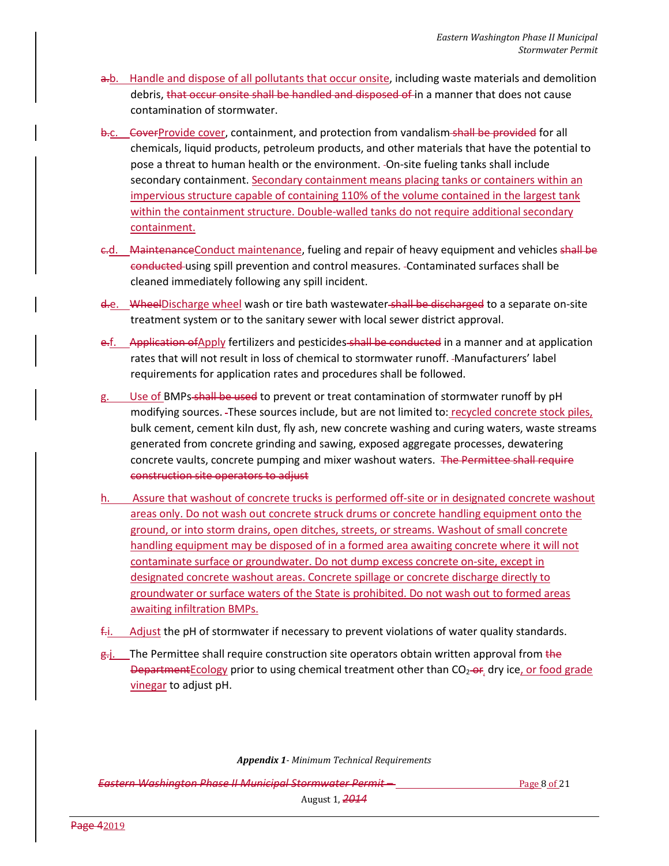- a.b. Handle and dispose of all pollutants that occur onsite, including waste materials and demolition debris, that occur onsite shall be handled and disposed of in a manner that does not cause contamination of stormwater.
- b.c. CoverProvide cover, containment, and protection from vandalism-shall be provided for all chemicals, liquid products, petroleum products, and other materials that have the potential to pose a threat to human health or the environment. On-site fueling tanks shall include secondary containment. Secondary containment means placing tanks or containers within an impervious structure capable of containing 110% of the volume contained in the largest tank within the containment structure. Double-walled tanks do not require additional secondary containment.
- c.d. MaintenanceConduct maintenance, fueling and repair of heavy equipment and vehicles shall be conducted using spill prevention and control measures. Contaminated surfaces shall be cleaned immediately following any spill incident.
- d.e. WheelDischarge wheel wash or tire bath wastewater-shall be discharged to a separate on-site treatment system or to the sanitary sewer with local sewer district approval.
- e.f. Application of Apply fertilizers and pesticides shall be conducted in a manner and at application rates that will not result in loss of chemical to stormwater runoff. -Manufacturers' label requirements for application rates and procedures shall be followed.
- g. Use of BMPs shall be used to prevent or treat contamination of stormwater runoff by pH modifying sources. These sources include, but are not limited to: recycled concrete stock piles, bulk cement, cement kiln dust, fly ash, new concrete washing and curing waters, waste streams generated from concrete grinding and sawing, exposed aggregate processes, dewatering concrete vaults, concrete pumping and mixer washout waters. The Permittee shall require construction site operators to adjust
- h. Assure that washout of concrete trucks is performed off-site or in designated concrete washout areas only. Do not wash out concrete struck drums or concrete handling equipment onto the ground, or into storm drains, open ditches, streets, or streams. Washout of small concrete handling equipment may be disposed of in a formed area awaiting concrete where it will not contaminate surface or groundwater. Do not dump excess concrete on-site, except in designated concrete washout areas. Concrete spillage or concrete discharge directly to groundwater or surface waters of the State is prohibited. Do not wash out to formed areas awaiting infiltration BMPs.
- $f_{\text{min}}$  Adjust the pH of stormwater if necessary to prevent violations of water quality standards.
- $g_{\overline{g}}$ . The Permittee shall require construction site operators obtain written approval from the Department Ecology prior to using chemical treatment other than  $CO<sub>2</sub>-OF$ , dry ice, or food grade vinegar to adjust pH.

*Appendix 1- Minimum Technical Requirements*

**Eastern Washington Phase II Municipal Stormwater Permit – Page 8 Page 8 of 21**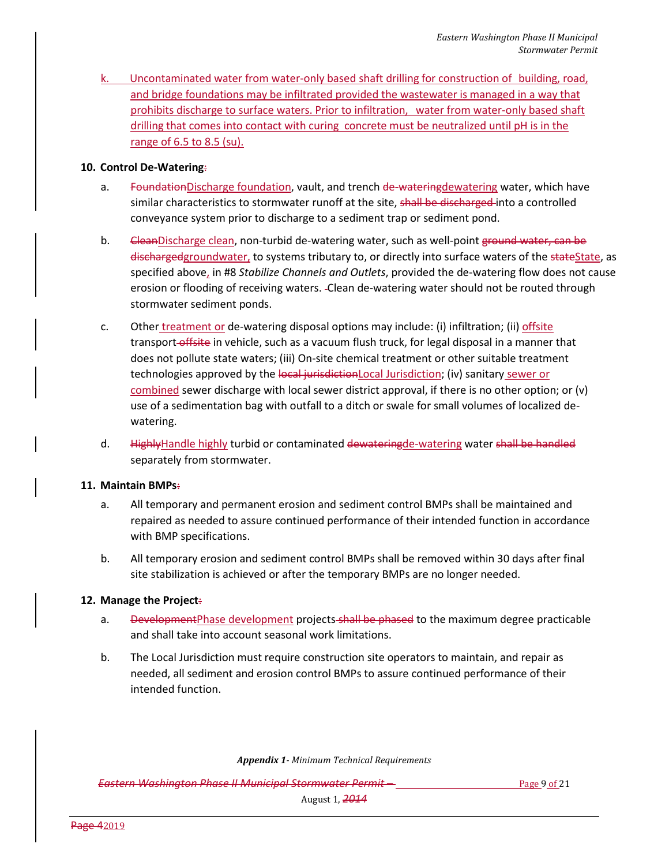k. Uncontaminated water from water-only based shaft drilling for construction of building, road, and bridge foundations may be infiltrated provided the wastewater is managed in a way that prohibits discharge to surface waters. Prior to infiltration, water from water-only based shaft drilling that comes into contact with curing concrete must be neutralized until pH is in the range of 6.5 to 8.5 (su).

#### **10. Control De-Watering**:

- a. FoundationDischarge foundation, vault, and trench de-wateringdewatering water, which have similar characteristics to stormwater runoff at the site, shall be discharged into a controlled conveyance system prior to discharge to a sediment trap or sediment pond.
- b. CleanDischarge clean, non-turbid de-watering water, such as well-point ground water, can be dischargedgroundwater, to systems tributary to, or directly into surface waters of the stateState, as specified above, in #8 *Stabilize Channels and Outlets*, provided the de-watering flow does not cause erosion or flooding of receiving waters. Clean de-watering water should not be routed through stormwater sediment ponds.
- c. Other treatment or de-watering disposal options may include: (i) infiltration; (ii) offsite transport-offsite in vehicle, such as a vacuum flush truck, for legal disposal in a manner that does not pollute state waters; (iii) On-site chemical treatment or other suitable treatment technologies approved by the local jurisdictionLocal Jurisdiction; (iv) sanitary sewer or combined sewer discharge with local sewer district approval, if there is no other option; or (v) use of a sedimentation bag with outfall to a ditch or swale for small volumes of localized dewatering.
- d. HighlyHandle highly turbid or contaminated dewateringde-watering water shall be handled separately from stormwater.

#### **11. Maintain BMPs**:

- a. All temporary and permanent erosion and sediment control BMPs shall be maintained and repaired as needed to assure continued performance of their intended function in accordance with BMP specifications.
- b. All temporary erosion and sediment control BMPs shall be removed within 30 days after final site stabilization is achieved or after the temporary BMPs are no longer needed.

## **12. Manage the Project**:

- a. DevelopmentPhase development projects shall be phased to the maximum degree practicable and shall take into account seasonal work limitations.
- b. The Local Jurisdiction must require construction site operators to maintain, and repair as needed, all sediment and erosion control BMPs to assure continued performance of their intended function.

*Appendix 1- Minimum Technical Requirements*

**Eastern Washington Phase II Municipal Stormwater Permit – Page 9 of 21 Page 9 of 21**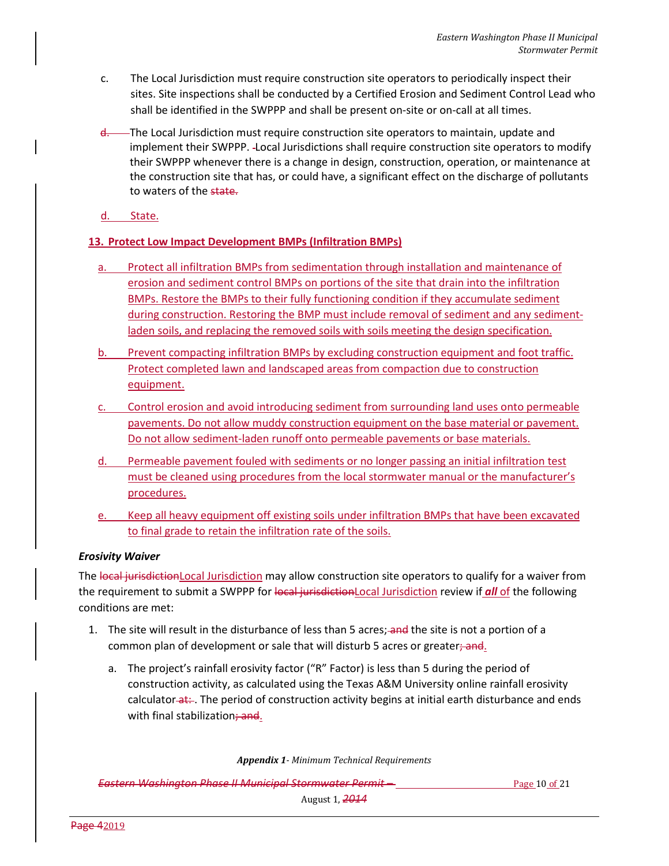- c. The Local Jurisdiction must require construction site operators to periodically inspect their sites. Site inspections shall be conducted by a Certified Erosion and Sediment Control Lead who shall be identified in the SWPPP and shall be present on-site or on-call at all times.
- d. The Local Jurisdiction must require construction site operators to maintain, update and implement their SWPPP. Local Jurisdictions shall require construction site operators to modify their SWPPP whenever there is a change in design, construction, operation, or maintenance at the construction site that has, or could have, a significant effect on the discharge of pollutants to waters of the state.
- d. State.

## **13. Protect Low Impact Development BMPs (Infiltration BMPs)**

- a. Protect all infiltration BMPs from sedimentation through installation and maintenance of erosion and sediment control BMPs on portions of the site that drain into the infiltration BMPs. Restore the BMPs to their fully functioning condition if they accumulate sediment during construction. Restoring the BMP must include removal of sediment and any sedimentladen soils, and replacing the removed soils with soils meeting the design specification.
- b. Prevent compacting infiltration BMPs by excluding construction equipment and foot traffic. Protect completed lawn and landscaped areas from compaction due to construction equipment.
- c. Control erosion and avoid introducing sediment from surrounding land uses onto permeable pavements. Do not allow muddy construction equipment on the base material or pavement. Do not allow sediment-laden runoff onto permeable pavements or base materials.
- d. Permeable pavement fouled with sediments or no longer passing an initial infiltration test must be cleaned using procedures from the local stormwater manual or the manufacturer's procedures.
- e. Keep all heavy equipment off existing soils under infiltration BMPs that have been excavated to final grade to retain the infiltration rate of the soils.

## *Erosivity Waiver*

The local jurisdictionLocal Jurisdiction may allow construction site operators to qualify for a waiver from the requirement to submit a SWPPP for local jurisdictionLocal Jurisdiction review if *all* of the following conditions are met:

- 1. The site will result in the disturbance of less than 5 acres; and the site is not a portion of a common plan of development or sale that will disturb 5 acres or greater; and.
	- a. The project's rainfall erosivity factor ("R" Factor) is less than 5 during the period of construction activity, as calculated using the Texas A&M University online rainfall erosivity calculator at: . The period of construction activity begins at initial earth disturbance and ends with final stabilization; and.

*Appendix 1- Minimum Technical Requirements*

**Eastern Washington Phase II Municipal Stormwater Permit – Page 10 of 21 Page 10 of 21**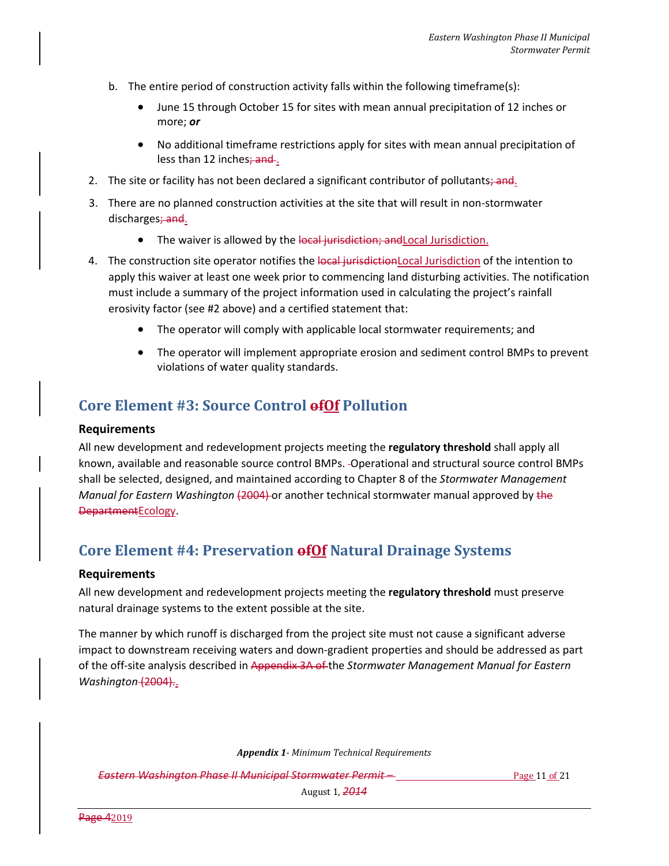- b. The entire period of construction activity falls within the following timeframe(s):
	- June 15 through October 15 for sites with mean annual precipitation of 12 inches or more; *or*
	- No additional timeframe restrictions apply for sites with mean annual precipitation of less than 12 inches; and.
- 2. The site or facility has not been declared a significant contributor of pollutants; and.
- 3. There are no planned construction activities at the site that will result in non-stormwater discharges; and.
	- The waiver is allowed by the local jurisdiction; and Local Jurisdiction.
- 4. The construction site operator notifies the local jurisdictionLocal Jurisdiction of the intention to apply this waiver at least one week prior to commencing land disturbing activities. The notification must include a summary of the project information used in calculating the project's rainfall erosivity factor (see #2 above) and a certified statement that:
	- The operator will comply with applicable local stormwater requirements; and
	- The operator will implement appropriate erosion and sediment control BMPs to prevent violations of water quality standards.

## **Core Element #3: Source Control ofOf Pollution**

#### **Requirements**

All new development and redevelopment projects meeting the **regulatory threshold** shall apply all known, available and reasonable source control BMPs. Operational and structural source control BMPs shall be selected, designed, and maintained according to Chapter 8 of the *Stormwater Management Manual for Eastern Washington* (2004) or another technical stormwater manual approved by the DepartmentEcology.

## **Core Element #4: Preservation ofOf Natural Drainage Systems**

#### **Requirements**

All new development and redevelopment projects meeting the **regulatory threshold** must preserve natural drainage systems to the extent possible at the site.

The manner by which runoff is discharged from the project site must not cause a significant adverse impact to downstream receiving waters and down-gradient properties and should be addressed as part of the off-site analysis described in Appendix 3A of the *Stormwater Management Manual for Eastern Washington* (2004)..

*Appendix 1- Minimum Technical Requirements*

**Eastern Washington Phase II Municipal Stormwater Permit – Eastern Page 11 of 21** of 21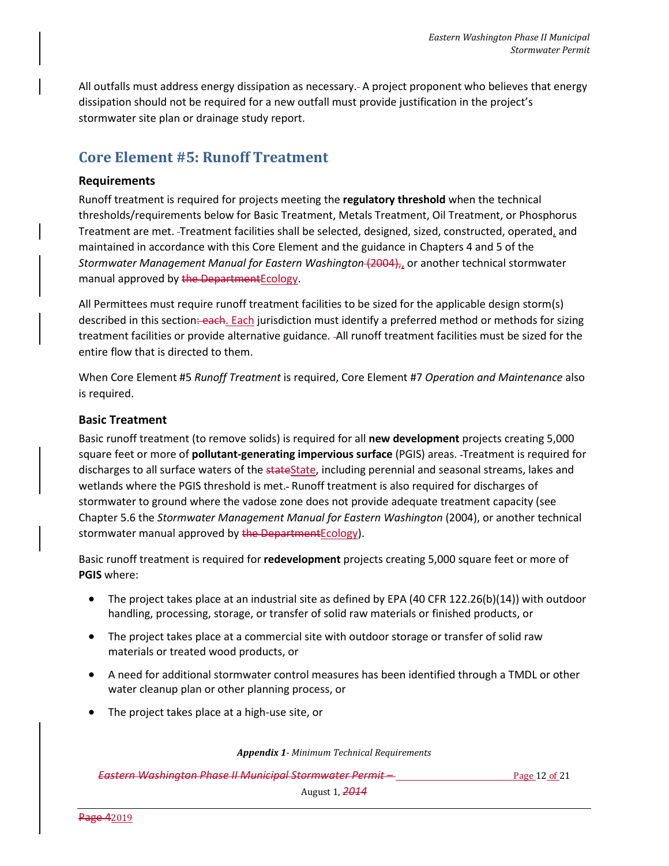All outfalls must address energy dissipation as necessary. A project proponent who believes that energy dissipation should not be required for a new outfall must provide justification in the project's stormwater site plan or drainage study report.

# **Core Element #5: Runoff Treatment**

## **Requirements**

Runoff treatment is required for projects meeting the **regulatory threshold** when the technical thresholds/requirements below for Basic Treatment, Metals Treatment, Oil Treatment, or Phosphorus Treatment are met. Treatment facilities shall be selected, designed, sized, constructed, operated, and maintained in accordance with this Core Element and the guidance in Chapters 4 and 5 of the *Stormwater Management Manual for Eastern Washington* (2004),, or another technical stormwater manual approved by the Department Ecology.

All Permittees must require runoff treatment facilities to be sized for the applicable design storm(s) described in this section: each. Each jurisdiction must identify a preferred method or methods for sizing treatment facilities or provide alternative guidance. All runoff treatment facilities must be sized for the entire flow that is directed to them.

When Core Element #5 *Runoff Treatment* is required, Core Element #7 *Operation and Maintenance* also is required.

## **Basic Treatment**

Basic runoff treatment (to remove solids) is required for all **new development** projects creating 5,000 square feet or more of **pollutant-generating impervious surface** (PGIS) areas. Treatment is required for discharges to all surface waters of the stateState, including perennial and seasonal streams, lakes and wetlands where the PGIS threshold is met.- Runoff treatment is also required for discharges of stormwater to ground where the vadose zone does not provide adequate treatment capacity (see Chapter 5.6 the *Stormwater Management Manual for Eastern Washington* (2004), or another technical stormwater manual approved by the Department Ecology).

Basic runoff treatment is required for **redevelopment** projects creating 5,000 square feet or more of **PGIS** where:

- The project takes place at an industrial site as defined by EPA (40 CFR 122.26(b)(14)) with outdoor handling, processing, storage, or transfer of solid raw materials or finished products, or
- The project takes place at a commercial site with outdoor storage or transfer of solid raw materials or treated wood products, or
- A need for additional stormwater control measures has been identified through a TMDL or other water cleanup plan or other planning process, or
- The project takes place at a high-use site, or

*Appendix 1- Minimum Technical Requirements*

**Eastern Washington Phase II Municipal Stormwater Permit – Eastern Page 12 of 21** of 21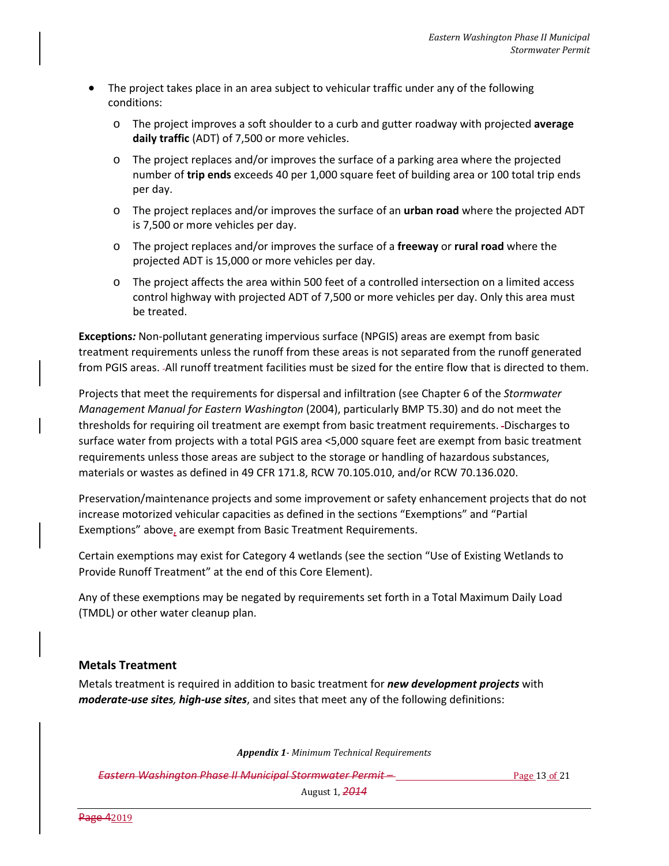- The project takes place in an area subject to vehicular traffic under any of the following conditions:
	- o The project improves a soft shoulder to a curb and gutter roadway with projected **average daily traffic** (ADT) of 7,500 or more vehicles.
	- o The project replaces and/or improves the surface of a parking area where the projected number of **trip ends** exceeds 40 per 1,000 square feet of building area or 100 total trip ends per day.
	- o The project replaces and/or improves the surface of an **urban road** where the projected ADT is 7,500 or more vehicles per day.
	- o The project replaces and/or improves the surface of a **freeway** or **rural road** where the projected ADT is 15,000 or more vehicles per day.
	- o The project affects the area within 500 feet of a controlled intersection on a limited access control highway with projected ADT of 7,500 or more vehicles per day. Only this area must be treated.

**Exceptions***:* Non-pollutant generating impervious surface (NPGIS) areas are exempt from basic treatment requirements unless the runoff from these areas is not separated from the runoff generated from PGIS areas. All runoff treatment facilities must be sized for the entire flow that is directed to them.

Projects that meet the requirements for dispersal and infiltration (see Chapter 6 of the *Stormwater Management Manual for Eastern Washington* (2004), particularly BMP T5.30) and do not meet the thresholds for requiring oil treatment are exempt from basic treatment requirements. -Discharges to surface water from projects with a total PGIS area <5,000 square feet are exempt from basic treatment requirements unless those areas are subject to the storage or handling of hazardous substances, materials or wastes as defined in 49 CFR 171.8, RCW 70.105.010, and/or RCW 70.136.020.

Preservation/maintenance projects and some improvement or safety enhancement projects that do not increase motorized vehicular capacities as defined in the sections "Exemptions" and "Partial Exemptions" above, are exempt from Basic Treatment Requirements.

Certain exemptions may exist for Category 4 wetlands (see the section "Use of Existing Wetlands to Provide Runoff Treatment" at the end of this Core Element).

Any of these exemptions may be negated by requirements set forth in a Total Maximum Daily Load (TMDL) or other water cleanup plan.

## **Metals Treatment**

Metals treatment is required in addition to basic treatment for *new development projects* with *moderate-use sites, high-use sites*, and sites that meet any of the following definitions:

*Appendix 1- Minimum Technical Requirements*

**Eastern Washington Phase II Municipal Stormwater Permit – Eastern Page 13 of 21** Page 13 of 21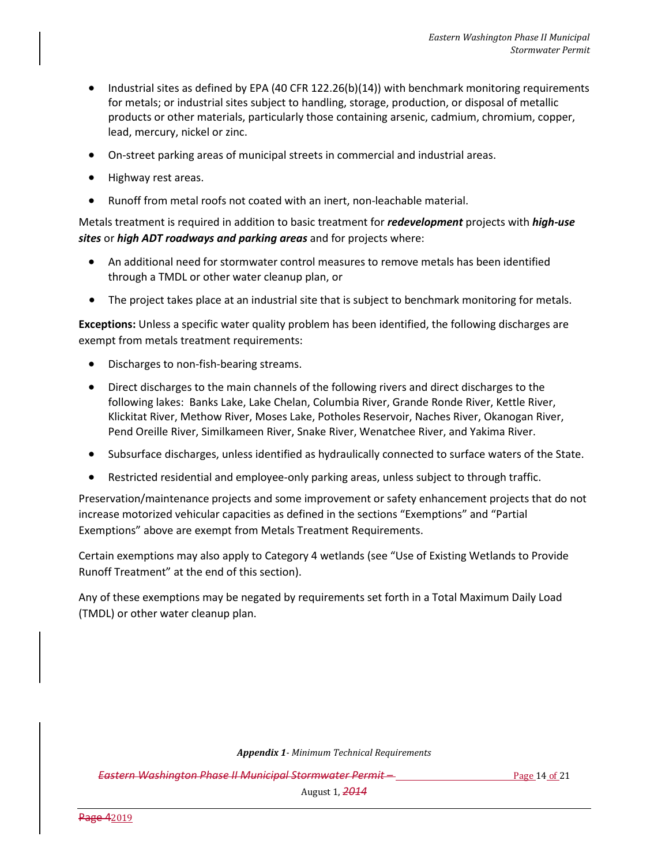- Industrial sites as defined by EPA (40 CFR 122.26(b)(14)) with benchmark monitoring requirements for metals; or industrial sites subject to handling, storage, production, or disposal of metallic products or other materials, particularly those containing arsenic, cadmium, chromium, copper, lead, mercury, nickel or zinc.
- On-street parking areas of municipal streets in commercial and industrial areas.
- Highway rest areas.
- Runoff from metal roofs not coated with an inert, non-leachable material.

Metals treatment is required in addition to basic treatment for *redevelopment* projects with *high-use sites* or *high ADT roadways and parking areas* and for projects where:

- An additional need for stormwater control measures to remove metals has been identified through a TMDL or other water cleanup plan, or
- The project takes place at an industrial site that is subject to benchmark monitoring for metals.

**Exceptions:** Unless a specific water quality problem has been identified, the following discharges are exempt from metals treatment requirements:

- Discharges to non-fish-bearing streams.
- Direct discharges to the main channels of the following rivers and direct discharges to the following lakes: Banks Lake, Lake Chelan, Columbia River, Grande Ronde River, Kettle River, Klickitat River, Methow River, Moses Lake, Potholes Reservoir, Naches River, Okanogan River, Pend Oreille River, Similkameen River, Snake River, Wenatchee River, and Yakima River.
- Subsurface discharges, unless identified as hydraulically connected to surface waters of the State.
- Restricted residential and employee-only parking areas, unless subject to through traffic.

Preservation/maintenance projects and some improvement or safety enhancement projects that do not increase motorized vehicular capacities as defined in the sections "Exemptions" and "Partial Exemptions" above are exempt from Metals Treatment Requirements.

Certain exemptions may also apply to Category 4 wetlands (see "Use of Existing Wetlands to Provide Runoff Treatment" at the end of this section).

Any of these exemptions may be negated by requirements set forth in a Total Maximum Daily Load (TMDL) or other water cleanup plan.

*Appendix 1- Minimum Technical Requirements*

**Eastern Washington Phase II Municipal Stormwater Permit – Eastern Page 14 of 21** Page 14 of 21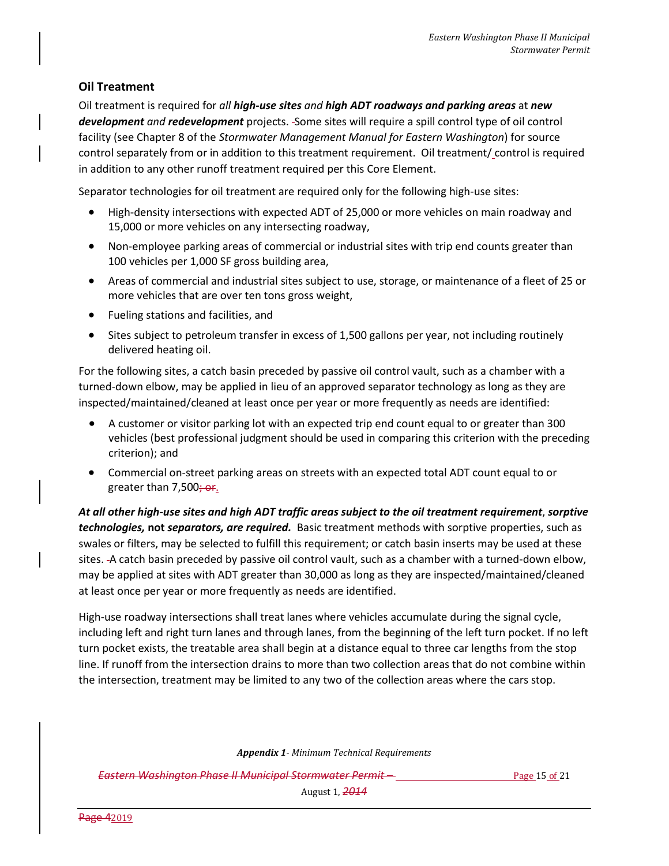## **Oil Treatment**

Oil treatment is required for *all high-use sites and high ADT roadways and parking areas* at *new development and redevelopment* projects. Some sites will require a spill control type of oil control facility (see Chapter 8 of the *Stormwater Management Manual for Eastern Washington*) for source control separately from or in addition to this treatment requirement. Oil treatment/ control is required in addition to any other runoff treatment required per this Core Element.

Separator technologies for oil treatment are required only for the following high-use sites:

- High-density intersections with expected ADT of 25,000 or more vehicles on main roadway and 15,000 or more vehicles on any intersecting roadway,
- Non-employee parking areas of commercial or industrial sites with trip end counts greater than 100 vehicles per 1,000 SF gross building area,
- Areas of commercial and industrial sites subject to use, storage, or maintenance of a fleet of 25 or more vehicles that are over ten tons gross weight,
- Fueling stations and facilities, and
- Sites subject to petroleum transfer in excess of 1,500 gallons per year, not including routinely delivered heating oil.

For the following sites, a catch basin preceded by passive oil control vault, such as a chamber with a turned-down elbow, may be applied in lieu of an approved separator technology as long as they are inspected/maintained/cleaned at least once per year or more frequently as needs are identified:

- A customer or visitor parking lot with an expected trip end count equal to or greater than 300 vehicles (best professional judgment should be used in comparing this criterion with the preceding criterion); and
- Commercial on-street parking areas on streets with an expected total ADT count equal to or greater than 7,500; or.

*At all other high-use sites and high ADT traffic areas subject to the oil treatment requirement*, *sorptive technologies,* **not** *separators, are required.* Basic treatment methods with sorptive properties, such as swales or filters, may be selected to fulfill this requirement; or catch basin inserts may be used at these sites. - A catch basin preceded by passive oil control vault, such as a chamber with a turned-down elbow, may be applied at sites with ADT greater than 30,000 as long as they are inspected/maintained/cleaned at least once per year or more frequently as needs are identified.

High-use roadway intersections shall treat lanes where vehicles accumulate during the signal cycle, including left and right turn lanes and through lanes, from the beginning of the left turn pocket. If no left turn pocket exists, the treatable area shall begin at a distance equal to three car lengths from the stop line. If runoff from the intersection drains to more than two collection areas that do not combine within the intersection, treatment may be limited to any two of the collection areas where the cars stop.

*Appendix 1- Minimum Technical Requirements*

**Eastern Washington Phase II Municipal Stormwater Permit – Eastern Page 15 of 21** Page 15 of 21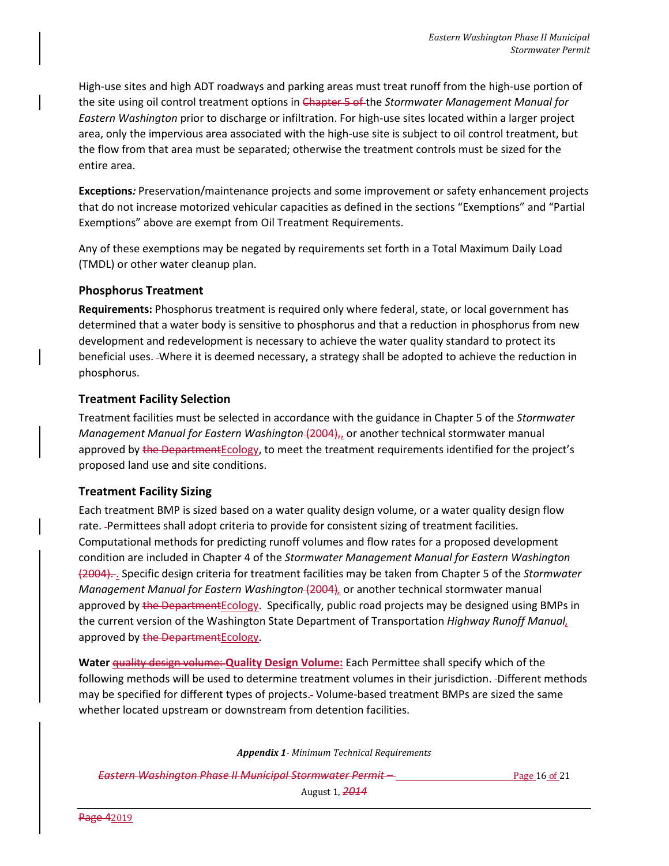High-use sites and high ADT roadways and parking areas must treat runoff from the high-use portion of the site using oil control treatment options in Chapter 5 of the *Stormwater Management Manual for Eastern Washington* prior to discharge or infiltration. For high-use sites located within a larger project area, only the impervious area associated with the high-use site is subject to oil control treatment, but the flow from that area must be separated; otherwise the treatment controls must be sized for the entire area.

**Exceptions***:* Preservation/maintenance projects and some improvement or safety enhancement projects that do not increase motorized vehicular capacities as defined in the sections "Exemptions" and "Partial Exemptions" above are exempt from Oil Treatment Requirements.

Any of these exemptions may be negated by requirements set forth in a Total Maximum Daily Load (TMDL) or other water cleanup plan.

## **Phosphorus Treatment**

**Requirements:** Phosphorus treatment is required only where federal, state, or local government has determined that a water body is sensitive to phosphorus and that a reduction in phosphorus from new development and redevelopment is necessary to achieve the water quality standard to protect its beneficial uses. Where it is deemed necessary, a strategy shall be adopted to achieve the reduction in phosphorus.

## **Treatment Facility Selection**

Treatment facilities must be selected in accordance with the guidance in Chapter 5 of the *Stormwater Management Manual for Eastern Washington* (2004),, or another technical stormwater manual approved by the Department Ecology, to meet the treatment requirements identified for the project's proposed land use and site conditions.

## **Treatment Facility Sizing**

Each treatment BMP is sized based on a water quality design volume, or a water quality design flow rate. Permittees shall adopt criteria to provide for consistent sizing of treatment facilities. Computational methods for predicting runoff volumes and flow rates for a proposed development condition are included in Chapter 4 of the *Stormwater Management Manual for Eastern Washington* (2004). . Specific design criteria for treatment facilities may be taken from Chapter 5 of the *Stormwater Management Manual for Eastern Washington* (2004)*,* or another technical stormwater manual approved by the Department Ecology. Specifically, public road projects may be designed using BMPs in the current version of the Washington State Department of Transportation *Highway Runoff Manual,* approved by the DepartmentEcology.

**Water** quality design volume: **Quality Design Volume:** Each Permittee shall specify which of the following methods will be used to determine treatment volumes in their jurisdiction. -Different methods may be specified for different types of projects. Volume-based treatment BMPs are sized the same whether located upstream or downstream from detention facilities.

*Appendix 1- Minimum Technical Requirements*

**Eastern Washington Phase II Municipal Stormwater Permit – Eastern Page 16 of 21**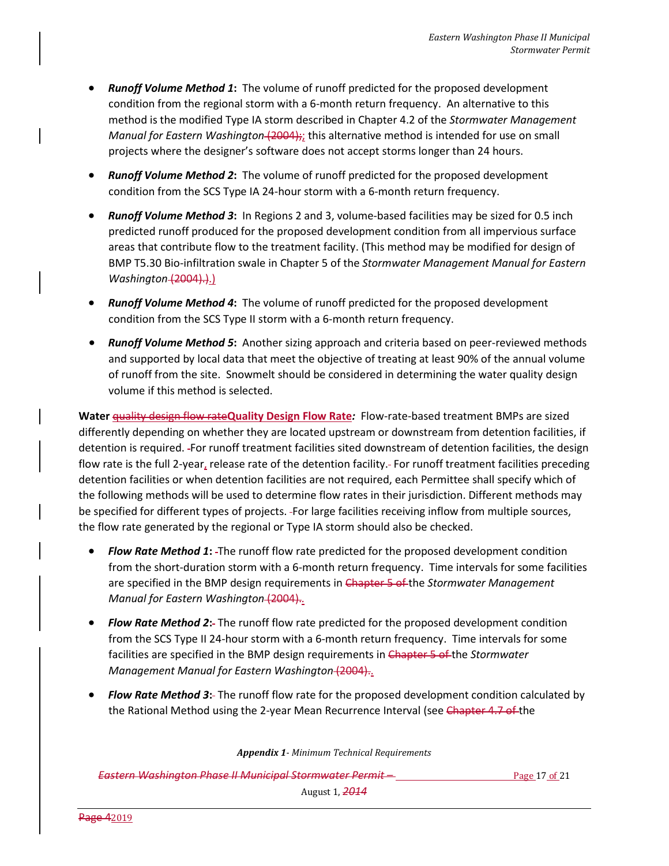- *Runoff Volume Method 1***:** The volume of runoff predicted for the proposed development condition from the regional storm with a 6-month return frequency. An alternative to this method is the modified Type IA storm described in Chapter 4.2 of the *Stormwater Management Manual for Eastern Washington* (2004);; this alternative method is intended for use on small projects where the designer's software does not accept storms longer than 24 hours.
- *Runoff Volume Method 2***:** The volume of runoff predicted for the proposed development condition from the SCS Type IA 24-hour storm with a 6-month return frequency.
- *Runoff Volume Method 3***:** In Regions 2 and 3, volume-based facilities may be sized for 0.5 inch predicted runoff produced for the proposed development condition from all impervious surface areas that contribute flow to the treatment facility. (This method may be modified for design of BMP T5.30 Bio-infiltration swale in Chapter 5 of the *Stormwater Management Manual for Eastern Washington* (2004).).)
- *Runoff Volume Method 4***:** The volume of runoff predicted for the proposed development condition from the SCS Type II storm with a 6-month return frequency.
- *Runoff Volume Method 5***:** Another sizing approach and criteria based on peer-reviewed methods and supported by local data that meet the objective of treating at least 90% of the annual volume of runoff from the site. Snowmelt should be considered in determining the water quality design volume if this method is selected.

**Water** quality design flow rate**Quality Design Flow Rate***:* Flow-rate-based treatment BMPs are sized differently depending on whether they are located upstream or downstream from detention facilities, if detention is required. For runoff treatment facilities sited downstream of detention facilities, the design flow rate is the full 2-year, release rate of the detention facility. For runoff treatment facilities preceding detention facilities or when detention facilities are not required, each Permittee shall specify which of the following methods will be used to determine flow rates in their jurisdiction. Different methods may be specified for different types of projects. For large facilities receiving inflow from multiple sources, the flow rate generated by the regional or Type IA storm should also be checked.

- *Flow Rate Method 1***:** The runoff flow rate predicted for the proposed development condition from the short-duration storm with a 6-month return frequency. Time intervals for some facilities are specified in the BMP design requirements in Chapter 5 of the *Stormwater Management Manual for Eastern Washington* (2004).
- *Flow Rate Method 2***:** The runoff flow rate predicted for the proposed development condition from the SCS Type II 24-hour storm with a 6-month return frequency. Time intervals for some facilities are specified in the BMP design requirements in Chapter 5 of the *Stormwater Management Manual for Eastern Washington* (2004)..
- *Flow Rate Method 3***:** The runoff flow rate for the proposed development condition calculated by the Rational Method using the 2-year Mean Recurrence Interval (see Chapter 4.7 of the

*Appendix 1- Minimum Technical Requirements*

**Eastern Washington Phase II Municipal Stormwater Permit – Page 17 of 21 Page 17 of 21**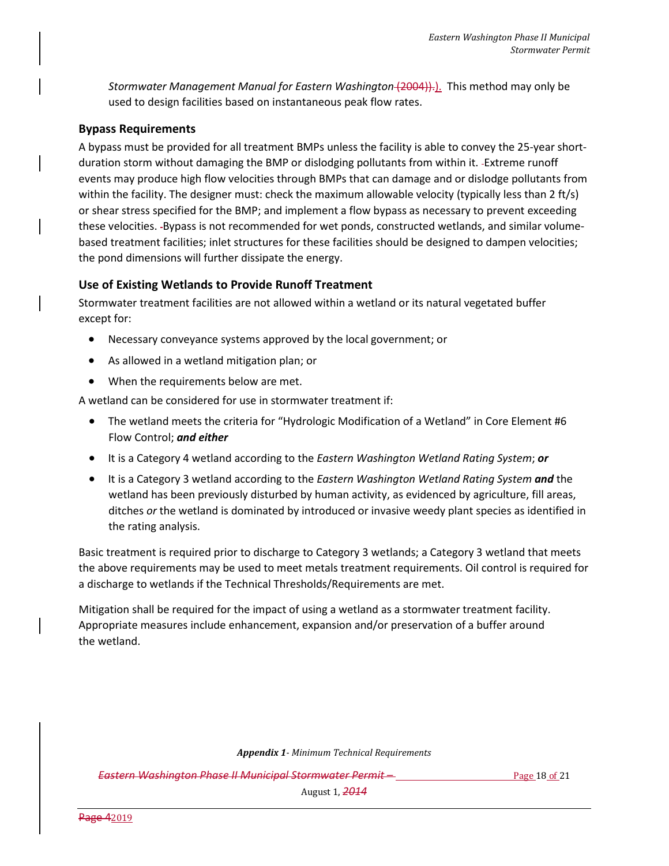*Stormwater Management Manual for Eastern Washington* (2004)).). This method may only be used to design facilities based on instantaneous peak flow rates.

## **Bypass Requirements**

A bypass must be provided for all treatment BMPs unless the facility is able to convey the 25-year shortduration storm without damaging the BMP or dislodging pollutants from within it. Extreme runoff events may produce high flow velocities through BMPs that can damage and or dislodge pollutants from within the facility. The designer must: check the maximum allowable velocity (typically less than 2 ft/s) or shear stress specified for the BMP; and implement a flow bypass as necessary to prevent exceeding these velocities. -Bypass is not recommended for wet ponds, constructed wetlands, and similar volumebased treatment facilities; inlet structures for these facilities should be designed to dampen velocities; the pond dimensions will further dissipate the energy.

## **Use of Existing Wetlands to Provide Runoff Treatment**

Stormwater treatment facilities are not allowed within a wetland or its natural vegetated buffer except for:

- Necessary conveyance systems approved by the local government; or
- As allowed in a wetland mitigation plan; or
- When the requirements below are met.

A wetland can be considered for use in stormwater treatment if:

- The wetland meets the criteria for "Hydrologic Modification of a Wetland" in Core Element #6 Flow Control; *and either*
- It is a Category 4 wetland according to the *Eastern Washington Wetland Rating System*; *or*
- It is a Category 3 wetland according to the *Eastern Washington Wetland Rating System and* the wetland has been previously disturbed by human activity, as evidenced by agriculture, fill areas, ditches *or* the wetland is dominated by introduced or invasive weedy plant species as identified in the rating analysis.

Basic treatment is required prior to discharge to Category 3 wetlands; a Category 3 wetland that meets the above requirements may be used to meet metals treatment requirements. Oil control is required for a discharge to wetlands if the Technical Thresholds/Requirements are met.

Mitigation shall be required for the impact of using a wetland as a stormwater treatment facility. Appropriate measures include enhancement, expansion and/or preservation of a buffer around the wetland.

*Appendix 1- Minimum Technical Requirements*

**Eastern Washington Phase II Municipal Stormwater Permit – Eastern Page 18 of 21** Page 18 of 21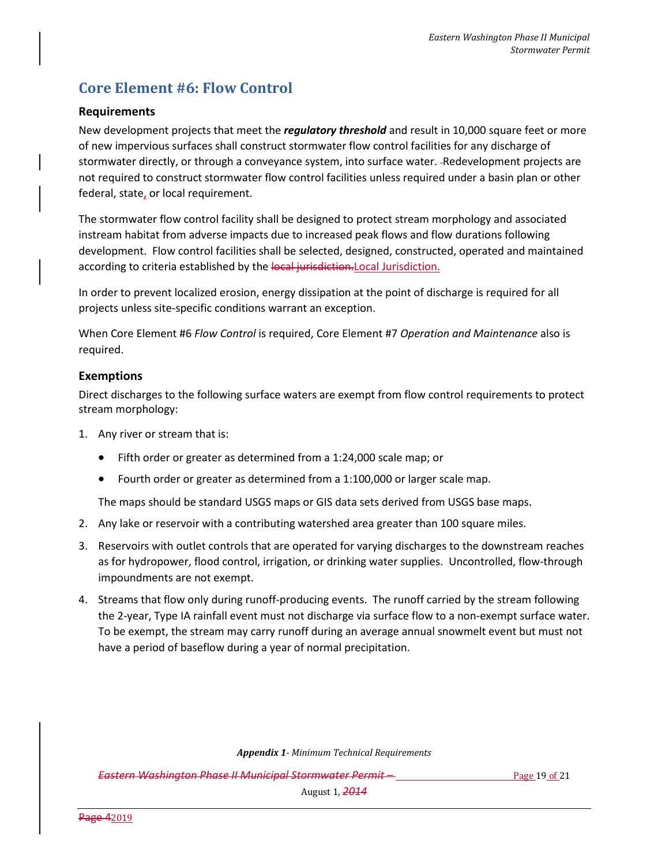# **Core Element #6: Flow Control**

## **Requirements**

New development projects that meet the *regulatory threshold* and result in 10,000 square feet or more of new impervious surfaces shall construct stormwater flow control facilities for any discharge of stormwater directly, or through a conveyance system, into surface water. -Redevelopment projects are not required to construct stormwater flow control facilities unless required under a basin plan or other federal, state, or local requirement.

The stormwater flow control facility shall be designed to protect stream morphology and associated instream habitat from adverse impacts due to increased peak flows and flow durations following development. Flow control facilities shall be selected, designed, constructed, operated and maintained according to criteria established by the local jurisdiction. Local Jurisdiction.

In order to prevent localized erosion, energy dissipation at the point of discharge is required for all projects unless site-specific conditions warrant an exception.

When Core Element #6 *Flow Control* is required, Core Element #7 *Operation and Maintenance* also is required.

## **Exemptions**

Direct discharges to the following surface waters are exempt from flow control requirements to protect stream morphology:

- 1. Any river or stream that is:
	- Fifth order or greater as determined from a 1:24,000 scale map; or
	- Fourth order or greater as determined from a 1:100,000 or larger scale map.

The maps should be standard USGS maps or GIS data sets derived from USGS base maps.

- 2. Any lake or reservoir with a contributing watershed area greater than 100 square miles.
- 3. Reservoirs with outlet controls that are operated for varying discharges to the downstream reaches as for hydropower, flood control, irrigation, or drinking water supplies. Uncontrolled, flow-through impoundments are not exempt.
- 4. Streams that flow only during runoff-producing events. The runoff carried by the stream following the 2-year, Type IA rainfall event must not discharge via surface flow to a non-exempt surface water. To be exempt, the stream may carry runoff during an average annual snowmelt event but must not have a period of baseflow during a year of normal precipitation.

*Appendix 1- Minimum Technical Requirements*

**Eastern Washington Phase II Municipal Stormwater Permit – Eastern Page 19 of 21** Page 19 of 21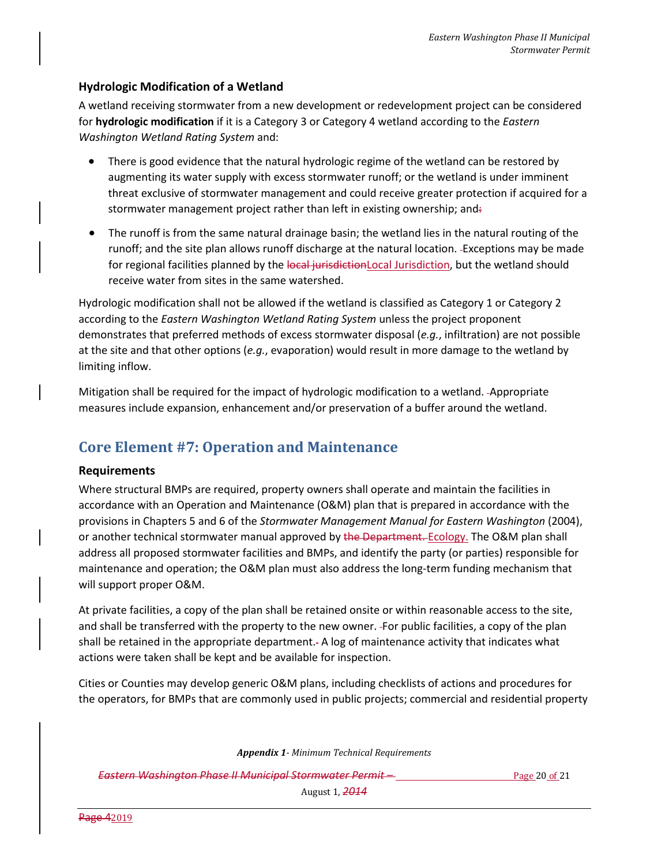## **Hydrologic Modification of a Wetland**

A wetland receiving stormwater from a new development or redevelopment project can be considered for **hydrologic modification** if it is a Category 3 or Category 4 wetland according to the *Eastern Washington Wetland Rating System* and:

- There is good evidence that the natural hydrologic regime of the wetland can be restored by augmenting its water supply with excess stormwater runoff; or the wetland is under imminent threat exclusive of stormwater management and could receive greater protection if acquired for a stormwater management project rather than left in existing ownership; and:
- The runoff is from the same natural drainage basin; the wetland lies in the natural routing of the runoff; and the site plan allows runoff discharge at the natural location. Exceptions may be made for regional facilities planned by the local jurisdictionLocal Jurisdiction, but the wetland should receive water from sites in the same watershed.

Hydrologic modification shall not be allowed if the wetland is classified as Category 1 or Category 2 according to the *Eastern Washington Wetland Rating System* unless the project proponent demonstrates that preferred methods of excess stormwater disposal (*e.g.*, infiltration) are not possible at the site and that other options (*e.g.*, evaporation) would result in more damage to the wetland by limiting inflow.

Mitigation shall be required for the impact of hydrologic modification to a wetland. Appropriate measures include expansion, enhancement and/or preservation of a buffer around the wetland.

## **Core Element #7: Operation and Maintenance**

## **Requirements**

Where structural BMPs are required, property owners shall operate and maintain the facilities in accordance with an Operation and Maintenance (O&M) plan that is prepared in accordance with the provisions in Chapters 5 and 6 of the *Stormwater Management Manual for Eastern Washington* (2004), or another technical stormwater manual approved by the Department. Ecology. The O&M plan shall address all proposed stormwater facilities and BMPs, and identify the party (or parties) responsible for maintenance and operation; the O&M plan must also address the long-term funding mechanism that will support proper O&M.

At private facilities, a copy of the plan shall be retained onsite or within reasonable access to the site, and shall be transferred with the property to the new owner. For public facilities, a copy of the plan shall be retained in the appropriate department. A log of maintenance activity that indicates what actions were taken shall be kept and be available for inspection.

Cities or Counties may develop generic O&M plans, including checklists of actions and procedures for the operators, for BMPs that are commonly used in public projects; commercial and residential property

*Appendix 1- Minimum Technical Requirements*

**Eastern Washington Phase II Municipal Stormwater Permit – Eastern Page 20 of 21** Page 20 of 21